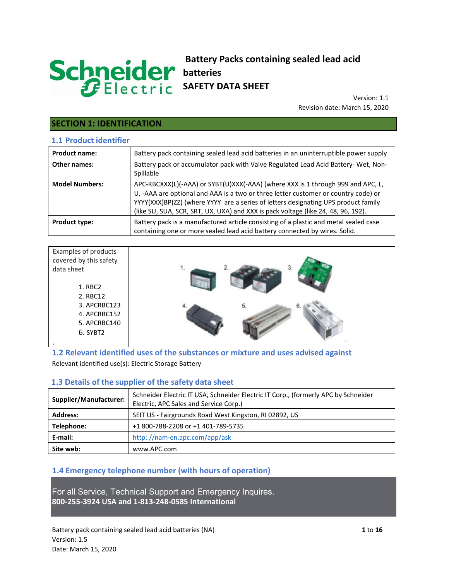# Schneider

## **Battery Packs containing sealed lead acid batteries SAFETY DATA SHEET**

Version: 1.1 Revision date: March 15, 2020

# **SECTION 1: IDENTIFICATION**

## **1.1 Product identifier**

| <b>Product name:</b>  | Battery pack containing sealed lead acid batteries in an uninterruptible power supply                                                                                                                                                                                                                                                            |
|-----------------------|--------------------------------------------------------------------------------------------------------------------------------------------------------------------------------------------------------------------------------------------------------------------------------------------------------------------------------------------------|
| Other names:          | Battery pack or accumulator pack with Valve Regulated Lead Acid Battery- Wet, Non-<br>Spillable                                                                                                                                                                                                                                                  |
| <b>Model Numbers:</b> | APC-RBCXXX(L)(-AAA) or SYBT(U)XXX(-AAA) (where XXX is 1 through 999 and APC, L,<br>U, -AAA are optional and AAA is a two or three letter customer or country code) or<br>YYYY(XXX)BP(ZZ) (where YYYY are a series of letters designating UPS product family<br>(like SU, SUA, SCR, SRT, UX, UXA) and XXX is pack voltage (like 24, 48, 96, 192). |
| <b>Product type:</b>  | Battery pack is a manufactured article consisting of a plastic and metal sealed case<br>containing one or more sealed lead acid battery connected by wires. Solid.                                                                                                                                                                               |

| Examples of products   |    |
|------------------------|----|
| covered by this safety |    |
| data sheet             |    |
| 1. RBC2                |    |
| 2. RBC12               |    |
| 3. APCRBC123           | 5. |
| 4. APCRBC152           |    |
| 5. APCRBC140           |    |
| 6. SYBT2               |    |
|                        |    |

**1.2 Relevant identified uses of the substances or mixture and uses advised against**  Relevant identified use(s): Electric Storage Battery

## **1.3 Details of the supplier of the safety data sheet**

| Schneider Electric IT USA, Schneider Electric IT Corp., (formerly APC by Schneider<br><b>Supplier/Manufacturer:</b><br>Electric, APC Sales and Service Corp.) |                                                        |  |
|---------------------------------------------------------------------------------------------------------------------------------------------------------------|--------------------------------------------------------|--|
| <b>Address:</b>                                                                                                                                               | SEIT US - Fairgrounds Road West Kingston, RI 02892, US |  |
| Telephone:                                                                                                                                                    | +1 800-788-2208 or +1 401-789-5735                     |  |
| E-mail:                                                                                                                                                       | http://nam-en.apc.com/app/ask                          |  |
| Site web:                                                                                                                                                     | www.APC.com                                            |  |

## **1.4 Emergency telephone number (with hours of operation)**

For all Service, Technical Support and Emergency Inquires. **800-255-3924 USA and 1-813-248-0585 International**

Battery pack containing sealed lead acid batteries (NA) **1** to **16** Version: 1.5 Date: March 15, 2020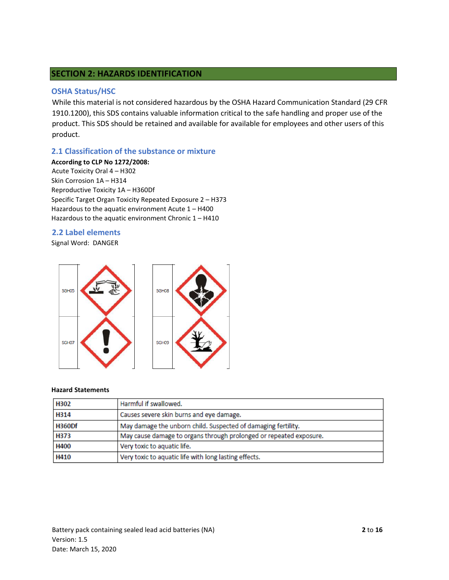## **SECTION 2: HAZARDS IDENTIFICATION**

#### **OSHA Status/HSC**

While this material is not considered hazardous by the OSHA Hazard Communication Standard (29 CFR 1910.1200), this SDS contains valuable information critical to the safe handling and proper use of the product. This SDS should be retained and available for available for employees and other users of this product.

#### **2.1 Classification of the substance or mixture**

**According to CLP No 1272/2008:**  Acute Toxicity Oral 4 – H302 Skin Corrosion 1A – H314 Reproductive Toxicity 1A – H360Df Specific Target Organ Toxicity Repeated Exposure 2 – H373 Hazardous to the aquatic environment Acute 1 – H400 Hazardous to the aquatic environment Chronic 1 – H410

#### **2.2 Label elements**

Signal Word: DANGER



#### **Hazard Statements**

| H302          | Harmful if swallowed.                                              |
|---------------|--------------------------------------------------------------------|
| H314          | Causes severe skin burns and eye damage.                           |
| <b>H360Df</b> | May damage the unborn child. Suspected of damaging fertility.      |
| H373          | May cause damage to organs through prolonged or repeated exposure. |
| H400          | Very toxic to aquatic life.                                        |
| H410          | Very toxic to aquatic life with long lasting effects.              |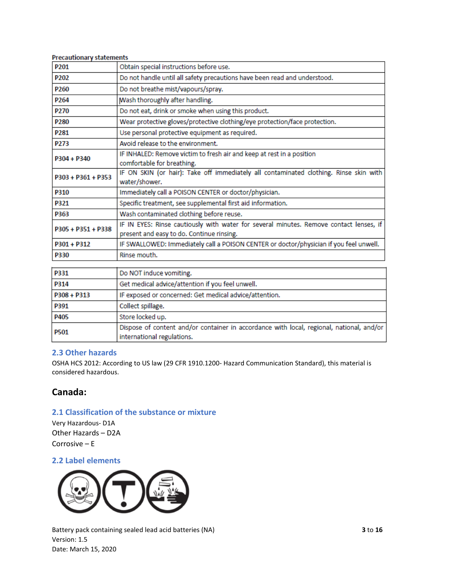| <b>Precautionary statements</b>                                                                                                     |
|-------------------------------------------------------------------------------------------------------------------------------------|
| Obtain special instructions before use.                                                                                             |
| Do not handle until all safety precautions have been read and understood.                                                           |
| Do not breathe mist/vapours/spray.                                                                                                  |
| Wash thoroughly after handling.                                                                                                     |
| Do not eat, drink or smoke when using this product.                                                                                 |
| Wear protective gloves/protective clothing/eye protection/face protection.                                                          |
| Use personal protective equipment as required.                                                                                      |
| Avoid release to the environment.                                                                                                   |
| IF INHALED: Remove victim to fresh air and keep at rest in a position<br>comfortable for breathing.                                 |
| IF ON SKIN (or hair): Take off immediately all contaminated clothing. Rinse skin with<br>water/shower.                              |
| Immediately call a POISON CENTER or doctor/physician.                                                                               |
| Specific treatment, see supplemental first aid information.                                                                         |
| Wash contaminated clothing before reuse.                                                                                            |
| IF IN EYES: Rinse cautiously with water for several minutes. Remove contact lenses, if<br>present and easy to do. Continue rinsing. |
| IF SWALLOWED: Immediately call a POISON CENTER or doctor/physician if you feel unwell.                                              |
| Rinse mouth.                                                                                                                        |
|                                                                                                                                     |

| <b>P331</b>   | Do NOT induce vomiting.                                                                                                |
|---------------|------------------------------------------------------------------------------------------------------------------------|
| P314          | Get medical advice/attention if you feel unwell.                                                                       |
| $P308 + P313$ | IF exposed or concerned: Get medical advice/attention.                                                                 |
| P391          | Collect spillage.                                                                                                      |
| P405          | Store locked up.                                                                                                       |
| <b>P501</b>   | Dispose of content and/or container in accordance with local, regional, national, and/or<br>international regulations. |

## **2.3 Other hazards**

OSHA HCS 2012: According to US law (29 CFR 1910.1200- Hazard Communication Standard), this material is considered hazardous.

## **Canada:**

## **2.1 Classification of the substance or mixture**

Very Hazardous- D1A Other Hazards – D2A Corrosive – E

## **2.2 Label elements**



Battery pack containing sealed lead acid batteries (NA) **3** to **16** Version: 1.5 Date: March 15, 2020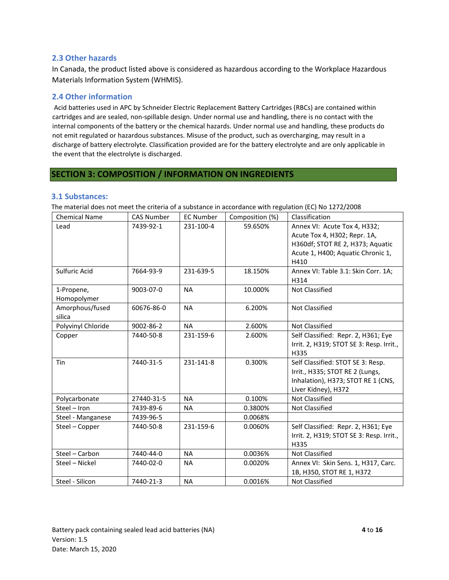## **2.3 Other hazards**

In Canada, the product listed above is considered as hazardous according to the Workplace Hazardous Materials Information System (WHMIS).

#### **2.4 Other information**

Acid batteries used in APC by Schneider Electric Replacement Battery Cartridges (RBCs) are contained within cartridges and are sealed, non-spillable design. Under normal use and handling, there is no contact with the internal components of the battery or the chemical hazards. Under normal use and handling, these products do not emit regulated or hazardous substances. Misuse of the product, such as overcharging, may result in a discharge of battery electrolyte. Classification provided are for the battery electrolyte and are only applicable in the event that the electrolyte is discharged.

## **SECTION 3: COMPOSITION / INFORMATION ON INGREDIENTS**

#### **3.1 Substances:**

The material does not meet the criteria of a substance in accordance with regulation (EC) No 1272/2008

| <b>Chemical Name</b>      | <b>CAS Number</b> | <b>EC Number</b> | Composition (%) | Classification                                                                                                                    |
|---------------------------|-------------------|------------------|-----------------|-----------------------------------------------------------------------------------------------------------------------------------|
| Lead                      | 7439-92-1         | 231-100-4        | 59.650%         | Annex VI: Acute Tox 4, H332;<br>Acute Tox 4, H302; Repr. 1A,<br>H360df; STOT RE 2, H373; Aquatic                                  |
|                           |                   |                  |                 | Acute 1, H400; Aquatic Chronic 1,<br>H410                                                                                         |
| Sulfuric Acid             | 7664-93-9         | 231-639-5        | 18.150%         | Annex VI: Table 3.1: Skin Corr. 1A;<br>H314                                                                                       |
| 1-Propene,<br>Homopolymer | 9003-07-0         | <b>NA</b>        | 10.000%         | <b>Not Classified</b>                                                                                                             |
| Amorphous/fused<br>silica | 60676-86-0        | <b>NA</b>        | 6.200%          | Not Classified                                                                                                                    |
| Polyvinyl Chloride        | 9002-86-2         | <b>NA</b>        | 2.600%          | <b>Not Classified</b>                                                                                                             |
| Copper                    | 7440-50-8         | 231-159-6        | 2.600%          | Self Classified: Repr. 2, H361; Eye<br>Irrit. 2, H319; STOT SE 3: Resp. Irrit.,<br>H335                                           |
| Tin                       | 7440-31-5         | 231-141-8        | 0.300%          | Self Classified: STOT SE 3: Resp.<br>Irrit., H335; STOT RE 2 (Lungs,<br>Inhalation), H373; STOT RE 1 (CNS,<br>Liver Kidney), H372 |
| Polycarbonate             | 27440-31-5        | <b>NA</b>        | 0.100%          | <b>Not Classified</b>                                                                                                             |
| Steel - Iron              | 7439-89-6         | <b>NA</b>        | 0.3800%         | Not Classified                                                                                                                    |
| Steel - Manganese         | 7439-96-5         |                  | 0.0068%         |                                                                                                                                   |
| Steel - Copper            | 7440-50-8         | 231-159-6        | 0.0060%         | Self Classified: Repr. 2, H361; Eye<br>Irrit. 2, H319; STOT SE 3: Resp. Irrit.,<br>H335                                           |
| Steel - Carbon            | 7440-44-0         | <b>NA</b>        | 0.0036%         | <b>Not Classified</b>                                                                                                             |
| Steel - Nickel            | 7440-02-0         | <b>NA</b>        | 0.0020%         | Annex VI: Skin Sens. 1, H317, Carc.<br>1B, H350, STOT RE 1, H372                                                                  |
| Steel - Silicon           | 7440-21-3         | <b>NA</b>        | 0.0016%         | <b>Not Classified</b>                                                                                                             |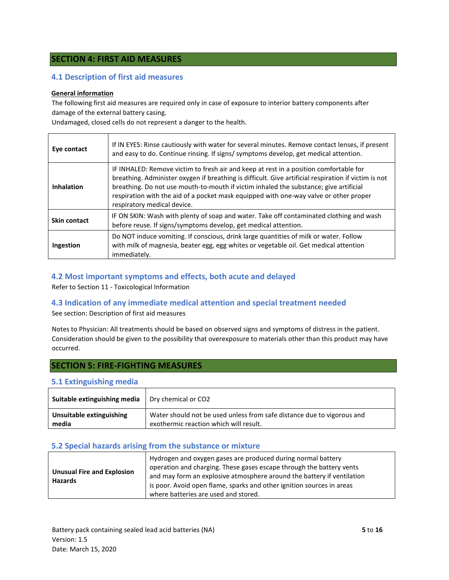## **SECTION 4: FIRST AID MEASURES**

#### **4.1 Description of first aid measures**

#### **General information**

The following first aid measures are required only in case of exposure to interior battery components after damage of the external battery casing.

Undamaged, closed cells do not represent a danger to the health.

| Eye contact       | If IN EYES: Rinse cautiously with water for several minutes. Remove contact lenses, if present<br>and easy to do. Continue rinsing. If signs/symptoms develop, get medical attention.                                                                                                                                                                                                                          |
|-------------------|----------------------------------------------------------------------------------------------------------------------------------------------------------------------------------------------------------------------------------------------------------------------------------------------------------------------------------------------------------------------------------------------------------------|
| <b>Inhalation</b> | IF INHALED: Remove victim to fresh air and keep at rest in a position comfortable for<br>breathing. Administer oxygen if breathing is difficult. Give artificial respiration if victim is not<br>breathing. Do not use mouth-to-mouth if victim inhaled the substance; give artificial<br>respiration with the aid of a pocket mask equipped with one-way valve or other proper<br>respiratory medical device. |
| Skin contact      | IF ON SKIN: Wash with plenty of soap and water. Take off contaminated clothing and wash<br>before reuse. If signs/symptoms develop, get medical attention.                                                                                                                                                                                                                                                     |
| Ingestion         | Do NOT induce vomiting. If conscious, drink large quantities of milk or water. Follow<br>with milk of magnesia, beater egg, egg whites or vegetable oil. Get medical attention<br>immediately.                                                                                                                                                                                                                 |

#### **4.2 Most important symptoms and effects, both acute and delayed**

Refer to Section 11 - Toxicological Information

#### **4.3 Indication of any immediate medical attention and special treatment needed**

See section: Description of first aid measures

Notes to Physician: All treatments should be based on observed signs and symptoms of distress in the patient. Consideration should be given to the possibility that overexposure to materials other than this product may have occurred.

## **SECTION 5: FIRE-FIGHTING MEASURES**

#### **5.1 Extinguishing media**

| Suitable extinguishing media | Dry chemical or CO2                                                    |
|------------------------------|------------------------------------------------------------------------|
| Unsuitable extinguishing     | Water should not be used unless from safe distance due to vigorous and |
| media                        | exothermic reaction which will result.                                 |

#### **5.2 Special hazards arising from the substance or mixture**

| <b>Unusual Fire and Explosion</b><br><b>Hazards</b> | Hydrogen and oxygen gases are produced during normal battery<br>operation and charging. These gases escape through the battery vents<br>and may form an explosive atmosphere around the battery if ventilation<br>is poor. Avoid open flame, sparks and other ignition sources in areas |
|-----------------------------------------------------|-----------------------------------------------------------------------------------------------------------------------------------------------------------------------------------------------------------------------------------------------------------------------------------------|
|                                                     | where batteries are used and stored.                                                                                                                                                                                                                                                    |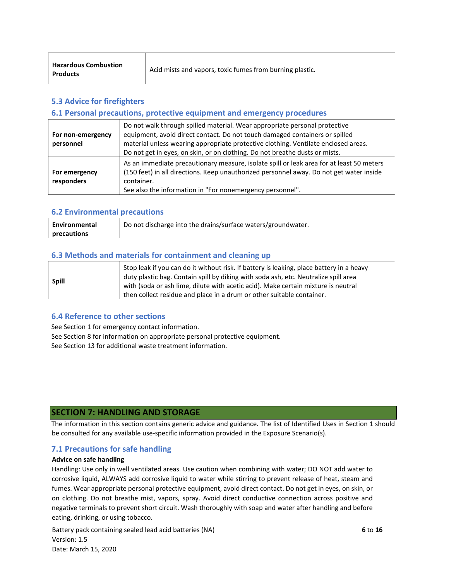| <b>Hazardous Combustion</b><br><b>Products</b> | Acid mists and vapors, toxic fumes from burning plastic. |
|------------------------------------------------|----------------------------------------------------------|
|------------------------------------------------|----------------------------------------------------------|

## **5.3 Advice for firefighters**

#### **6.1 Personal precautions, protective equipment and emergency procedures**

| For non-emergency<br>personnel | Do not walk through spilled material. Wear appropriate personal protective<br>equipment, avoid direct contact. Do not touch damaged containers or spilled<br>material unless wearing appropriate protective clothing. Ventilate enclosed areas.<br>Do not get in eyes, on skin, or on clothing. Do not breathe dusts or mists. |
|--------------------------------|--------------------------------------------------------------------------------------------------------------------------------------------------------------------------------------------------------------------------------------------------------------------------------------------------------------------------------|
| For emergency<br>responders    | As an immediate precautionary measure, isolate spill or leak area for at least 50 meters<br>(150 feet) in all directions. Keep unauthorized personnel away. Do not get water inside<br>container.<br>See also the information in "For nonemergency personnel".                                                                 |

#### **6.2 Environmental precautions**

| Environmental | Do not discharge into the drains/surface waters/groundwater. |
|---------------|--------------------------------------------------------------|
| precautions   |                                                              |

#### **6.3 Methods and materials for containment and cleaning up**

| <b>Spill</b> | Stop leak if you can do it without risk. If battery is leaking, place battery in a heavy<br>duty plastic bag. Contain spill by diking with soda ash, etc. Neutralize spill area |
|--------------|---------------------------------------------------------------------------------------------------------------------------------------------------------------------------------|
|              | with (soda or ash lime, dilute with acetic acid). Make certain mixture is neutral<br>then collect residue and place in a drum or other suitable container.                      |

#### **6.4 Reference to other sections**

See Section 1 for emergency contact information.

See Section 8 for information on appropriate personal protective equipment.

See Section 13 for additional waste treatment information.

## **SECTION 7: HANDLING AND STORAGE**

The information in this section contains generic advice and guidance. The list of Identified Uses in Section 1 should be consulted for any available use-specific information provided in the Exposure Scenario(s).

#### **7.1 Precautions for safe handling**

#### **Advice on safe handling**

Handling: Use only in well ventilated areas. Use caution when combining with water; DO NOT add water to corrosive liquid, ALWAYS add corrosive liquid to water while stirring to prevent release of heat, steam and fumes. Wear appropriate personal protective equipment, avoid direct contact. Do not get in eyes, on skin, or on clothing. Do not breathe mist, vapors, spray. Avoid direct conductive connection across positive and negative terminals to prevent short circuit. Wash thoroughly with soap and water after handling and before eating, drinking, or using tobacco.

Battery pack containing sealed lead acid batteries (NA) **6** to **16** Version: 1.5 Date: March 15, 2020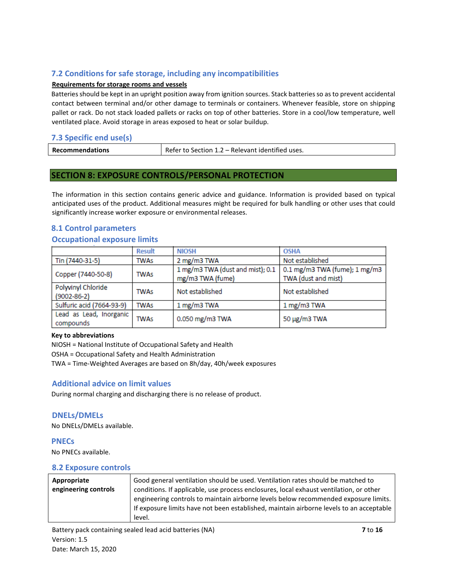## **7.2 Conditions for safe storage, including any incompatibilities**

#### **Requirements for storage rooms and vessels**

Batteries should be kept in an upright position away from ignition sources. Stack batteries so as to prevent accidental contact between terminal and/or other damage to terminals or containers. Whenever feasible, store on shipping pallet or rack. Do not stack loaded pallets or racks on top of other batteries. Store in a cool/low temperature, well ventilated place. Avoid storage in areas exposed to heat or solar buildup.

## **7.3 Specific end use(s)**

| <b>Recommendations</b> | Refer to Section 1.2 – Relevant identified uses. |
|------------------------|--------------------------------------------------|
|                        |                                                  |

#### **SECTION 8: EXPOSURE CONTROLS/PERSONAL PROTECTION**

The information in this section contains generic advice and guidance. Information is provided based on typical anticipated uses of the product. Additional measures might be required for bulk handling or other uses that could significantly increase worker exposure or environmental releases.

#### **8.1 Control parameters**

#### **Occupational exposure limits**

|                                         | <b>Result</b> | <b>NIOSH</b>                                         | <b>OSHA</b>                                          |
|-----------------------------------------|---------------|------------------------------------------------------|------------------------------------------------------|
| Tin (7440-31-5)                         | <b>TWAs</b>   | 2 mg/m3 TWA                                          | Not established                                      |
| Copper (7440-50-8)                      | <b>TWAs</b>   | 1 mg/m3 TWA (dust and mist); 0.1<br>mg/m3 TWA (fume) | 0.1 mg/m3 TWA (fume); 1 mg/m3<br>TWA (dust and mist) |
| Polyvinyl Chloride<br>$(9002 - 86 - 2)$ | <b>TWAs</b>   | Not established                                      | Not established                                      |
| Sulfuric acid (7664-93-9)               | <b>TWAs</b>   | 1 mg/m3 TWA                                          | 1 mg/m3 TWA                                          |
| Lead as Lead, Inorganic<br>compounds    | <b>TWAs</b>   | 0.050 mg/m3 TWA                                      | 50 μg/m3 TWA                                         |

#### **Key to abbreviations**

NIOSH = National Institute of Occupational Safety and Health OSHA = Occupational Safety and Health Administration TWA = Time-Weighted Averages are based on 8h/day, 40h/week exposures

## **Additional advice on limit values**

During normal charging and discharging there is no release of product.

#### **DNELs/DMELs**

No DNELs/DMELs available.

# **PNECs**

No PNECs available.

#### **8.2 Exposure controls**

| Appropriate          | Good general ventilation should be used. Ventilation rates should be matched to         |
|----------------------|-----------------------------------------------------------------------------------------|
| engineering controls | conditions. If applicable, use process enclosures, local exhaust ventilation, or other  |
|                      | engineering controls to maintain airborne levels below recommended exposure limits.     |
|                      | If exposure limits have not been established, maintain airborne levels to an acceptable |
|                      | level.                                                                                  |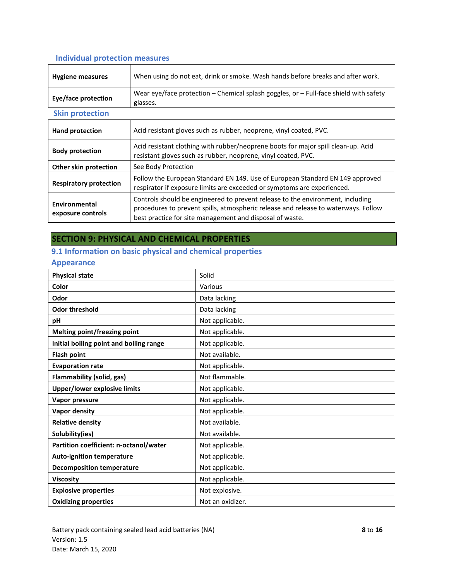## **Individual protection measures**

| <b>Hygiene measures</b>            | When using do not eat, drink or smoke. Wash hands before breaks and after work.                                                                                                                                                                                                        |  |
|------------------------------------|----------------------------------------------------------------------------------------------------------------------------------------------------------------------------------------------------------------------------------------------------------------------------------------|--|
| <b>Eye/face protection</b>         | Wear eye/face protection – Chemical splash goggles, or – Full-face shield with safety<br>glasses.                                                                                                                                                                                      |  |
| <b>Skin protection</b>             |                                                                                                                                                                                                                                                                                        |  |
| <b>Hand protection</b>             | Acid resistant gloves such as rubber, neoprene, vinyl coated, PVC.                                                                                                                                                                                                                     |  |
| <b>Body protection</b>             | Acid resistant clothing with rubber/neoprene boots for major spill clean-up. Acid<br>resistant gloves such as rubber, neoprene, vinyl coated, PVC.                                                                                                                                     |  |
| Other skin protection              | See Body Protection                                                                                                                                                                                                                                                                    |  |
| <b>Respiratory protection</b>      | Follow the European Standard EN 149. Use of European Standard EN 149 approved<br>respirator if exposure limits are exceeded or symptoms are experienced.                                                                                                                               |  |
| Environmental<br>exposure controls | Controls should be engineered to prevent release to the environment, including<br>procedures to prevent spills, atmospheric release and release to waterways. Follow<br>la di sebuah dan sebuah di sebuah dan berasa dan sebuah di sebuah di sebuah di sebuah dan berasa dan berasa da |  |

best practice for site management and disposal of waste.

## **SECTION 9: PHYSICAL AND CHEMICAL PROPERTIES**

## **9.1 Information on basic physical and chemical properties**

#### **Appearance**

| <b>Physical state</b>                   | Solid            |
|-----------------------------------------|------------------|
| Color                                   | Various          |
| Odor                                    | Data lacking     |
| <b>Odor threshold</b>                   | Data lacking     |
| рH                                      | Not applicable.  |
| Melting point/freezing point            | Not applicable.  |
| Initial boiling point and boiling range | Not applicable.  |
| <b>Flash point</b>                      | Not available.   |
| <b>Evaporation rate</b>                 | Not applicable.  |
| Flammability (solid, gas)               | Not flammable.   |
| <b>Upper/lower explosive limits</b>     | Not applicable.  |
| Vapor pressure                          | Not applicable.  |
| <b>Vapor density</b>                    | Not applicable.  |
| <b>Relative density</b>                 | Not available.   |
| Solubility(ies)                         | Not available.   |
| Partition coefficient: n-octanol/water  | Not applicable.  |
| <b>Auto-ignition temperature</b>        | Not applicable.  |
| <b>Decomposition temperature</b>        | Not applicable.  |
| <b>Viscosity</b>                        | Not applicable.  |
| <b>Explosive properties</b>             | Not explosive.   |
| <b>Oxidizing properties</b>             | Not an oxidizer. |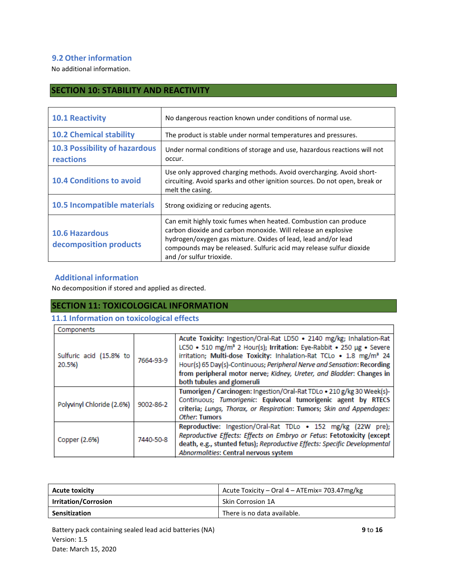## **9.2 Other information**

No additional information.

## **SECTION 10: STABILITY AND REACTIVITY**

| <b>10.1 Reactivity</b>                            | No dangerous reaction known under conditions of normal use.                                                                                                                                                                                                                                          |
|---------------------------------------------------|------------------------------------------------------------------------------------------------------------------------------------------------------------------------------------------------------------------------------------------------------------------------------------------------------|
| <b>10.2 Chemical stability</b>                    | The product is stable under normal temperatures and pressures.                                                                                                                                                                                                                                       |
| <b>10.3 Possibility of hazardous</b><br>reactions | Under normal conditions of storage and use, hazardous reactions will not<br>occur.                                                                                                                                                                                                                   |
| <b>10.4 Conditions to avoid</b>                   | Use only approved charging methods. Avoid overcharging. Avoid short-<br>circuiting. Avoid sparks and other ignition sources. Do not open, break or<br>melt the casing.                                                                                                                               |
| 10.5 Incompatible materials                       | Strong oxidizing or reducing agents.                                                                                                                                                                                                                                                                 |
| <b>10.6 Hazardous</b><br>decomposition products   | Can emit highly toxic fumes when heated. Combustion can produce<br>carbon dioxide and carbon monoxide. Will release an explosive<br>hydrogen/oxygen gas mixture. Oxides of lead, lead and/or lead<br>compounds may be released. Sulfuric acid may release sulfur dioxide<br>and /or sulfur trioxide. |

## **Additional information**

No decomposition if stored and applied as directed.

## **SECTION 11: TOXICOLOGICAL INFORMATION**

## **11.1 Information on toxicological effects**

| Components                        |           |                                                                                                                                                                                                                                                                                                                                                                                                                              |
|-----------------------------------|-----------|------------------------------------------------------------------------------------------------------------------------------------------------------------------------------------------------------------------------------------------------------------------------------------------------------------------------------------------------------------------------------------------------------------------------------|
| Sulfuric acid (15.8% to<br>20.5%) | 7664-93-9 | Acute Toxicity: Ingestion/Oral-Rat LD50 . 2140 mg/kg; Inhalation-Rat<br>LC50 • 510 mg/m <sup>3</sup> 2 Hour(s); Irritation: Eye-Rabbit • 250 µg • Severe<br>irritation; Multi-dose Toxicity: Inhalation-Rat TCLo . 1.8 mg/m <sup>3</sup> 24<br>Hour(s) 65 Day(s)-Continuous; Peripheral Nerve and Sensation: Recording<br>from peripheral motor nerve; Kidney, Ureter, and Bladder: Changes in<br>both tubules and glomeruli |
| Polyvinyl Chloride (2.6%)         | 9002-86-2 | Tumorigen / Carcinogen: Ingestion/Oral-Rat TDLo . 210 g/kg 30 Week(s)-<br>Continuous; Tumorigenic: Equivocal tumorigenic agent by RTECS<br>criteria; Lungs, Thorax, or Respiration: Tumors; Skin and Appendages:<br>Other: Tumors                                                                                                                                                                                            |
| Copper (2.6%)                     | 7440-50-8 | Reproductive: Ingestion/Oral-Rat TDLo . 152 mg/kg (22W pre);<br>Reproductive Effects: Effects on Embryo or Fetus: Fetotoxicity (except<br>death, e.g., stunted fetus); Reproductive Effects: Specific Developmental<br>Abnormalities: Central nervous system                                                                                                                                                                 |

| <b>Acute toxicity</b>       | Acute Toxicity - Oral 4 - ATEmix= 703.47mg/kg |
|-----------------------------|-----------------------------------------------|
| <b>Irritation/Corrosion</b> | Skin Corrosion 1A                             |
| <b>Sensitization</b>        | There is no data available.                   |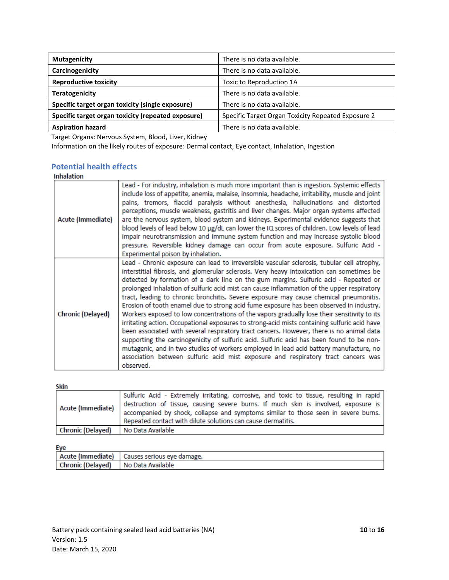| <b>Mutagenicity</b>                                | There is no data available.                        |
|----------------------------------------------------|----------------------------------------------------|
| Carcinogenicity                                    | There is no data available.                        |
| <b>Reproductive toxicity</b>                       | Toxic to Reproduction 1A                           |
| <b>Teratogenicity</b>                              | There is no data available.                        |
| Specific target organ toxicity (single exposure)   | There is no data available.                        |
| Specific target organ toxicity (repeated exposure) | Specific Target Organ Toxicity Repeated Exposure 2 |
| <b>Aspiration hazard</b>                           | There is no data available.                        |

Target Organs: Nervous System, Blood, Liver, Kidney

Information on the likely routes of exposure: Dermal contact, Eye contact, Inhalation, Ingestion

## **Potential health effects**

| <b>Inhalation</b>        |                                                                                                                                                                                                                                                                                                                                                                                                                                                                                                                                                                                                                                                                                                                                                                                                                                                                                                                                                                                                                                                                                                                                                      |
|--------------------------|------------------------------------------------------------------------------------------------------------------------------------------------------------------------------------------------------------------------------------------------------------------------------------------------------------------------------------------------------------------------------------------------------------------------------------------------------------------------------------------------------------------------------------------------------------------------------------------------------------------------------------------------------------------------------------------------------------------------------------------------------------------------------------------------------------------------------------------------------------------------------------------------------------------------------------------------------------------------------------------------------------------------------------------------------------------------------------------------------------------------------------------------------|
| Acute (Immediate)        | Lead - For industry, inhalation is much more important than is ingestion. Systemic effects<br>include loss of appetite, anemia, malaise, insomnia, headache, irritability, muscle and joint<br>pains, tremors, flaccid paralysis without anesthesia, hallucinations and distorted<br>perceptions, muscle weakness, gastritis and liver changes. Major organ systems affected<br>are the nervous system, blood system and kidneys. Experimental evidence suggests that<br>blood levels of lead below 10 µg/dL can lower the IQ scores of children. Low levels of lead<br>impair neurotransmission and immune system function and may increase systolic blood<br>pressure. Reversible kidney damage can occur from acute exposure. Sulfuric Acid -<br>Experimental poison by inhalation.                                                                                                                                                                                                                                                                                                                                                               |
| <b>Chronic (Delayed)</b> | Lead - Chronic exposure can lead to irreversible vascular sclerosis, tubular cell atrophy,<br>interstitial fibrosis, and glomerular sclerosis. Very heavy intoxication can sometimes be<br>detected by formation of a dark line on the gum margins. Sulfuric acid - Repeated or<br>prolonged inhalation of sulfuric acid mist can cause inflammation of the upper respiratory<br>tract, leading to chronic bronchitis. Severe exposure may cause chemical pneumonitis.<br>Erosion of tooth enamel due to strong acid fume exposure has been observed in industry.<br>Workers exposed to low concentrations of the vapors gradually lose their sensitivity to its<br>irritating action. Occupational exposures to strong-acid mists containing sulfuric acid have<br>been associated with several respiratory tract cancers. However, there is no animal data<br>supporting the carcinogenicity of sulfuric acid. Sulfuric acid has been found to be non-<br>mutagenic, and in two studies of workers employed in lead acid battery manufacture, no<br>association between sulfuric acid mist exposure and respiratory tract cancers was<br>observed. |

#### Skin

| Acute (Immediate) | Sulfuric Acid - Extremely irritating, corrosive, and toxic to tissue, resulting in rapid<br>destruction of tissue, causing severe burns. If much skin is involved, exposure is<br>accompanied by shock, collapse and symptoms similar to those seen in severe burns.<br>Repeated contact with dilute solutions can cause dermatitis. |
|-------------------|--------------------------------------------------------------------------------------------------------------------------------------------------------------------------------------------------------------------------------------------------------------------------------------------------------------------------------------|
| Chronic (Delayed) | No Data Available                                                                                                                                                                                                                                                                                                                    |

Eve

| . .                                 |                                                |
|-------------------------------------|------------------------------------------------|
|                                     | Acute (Immediate)   Causes serious eye damage. |
| Chronic (Delayed) No Data Available |                                                |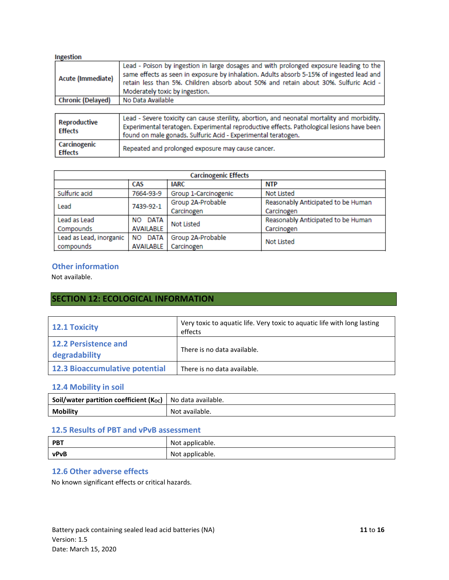| Ingestion                      |                                                                                                                                                                                                                                                                                                              |  |  |
|--------------------------------|--------------------------------------------------------------------------------------------------------------------------------------------------------------------------------------------------------------------------------------------------------------------------------------------------------------|--|--|
| Acute (Immediate)              | Lead - Poison by ingestion in large dosages and with prolonged exposure leading to the<br>same effects as seen in exposure by inhalation. Adults absorb 5-15% of ingested lead and<br>retain less than 5%. Children absorb about 50% and retain about 30%. Sulfuric Acid -<br>Moderately toxic by ingestion. |  |  |
| <b>Chronic (Delayed)</b>       | No Data Available                                                                                                                                                                                                                                                                                            |  |  |
|                                |                                                                                                                                                                                                                                                                                                              |  |  |
| Reproductive<br><b>Effects</b> | Lead - Severe toxicity can cause sterility, abortion, and neonatal mortality and morbidity.<br>Experimental teratogen. Experimental reproductive effects. Pathological lesions have been<br>found on male gonads. Sulfuric Acid - Experimental teratogen.                                                    |  |  |
| Carcinogenic<br><b>Effects</b> | Repeated and prolonged exposure may cause cancer.                                                                                                                                                                                                                                                            |  |  |

| <b>Carcinogenic Effects</b> |                   |                                                         |                                    |  |
|-----------------------------|-------------------|---------------------------------------------------------|------------------------------------|--|
|                             | CAS               | <b>IARC</b>                                             | <b>NTP</b>                         |  |
| Sulfuric acid               | 7664-93-9         | Group 1-Carcinogenic                                    | <b>Not Listed</b>                  |  |
| Lead                        | 7439-92-1         | Group 2A-Probable<br>Reasonably Anticipated to be Human |                                    |  |
|                             |                   | Carcinogen                                              | Carcinogen                         |  |
| Lead as Lead                | NO DATA           | <b>Not Listed</b>                                       | Reasonably Anticipated to be Human |  |
| Compounds                   | <b>AVAILABLE</b>  |                                                         | Carcinogen                         |  |
| Lead as Lead, inorganic     | <b>DATA</b><br>NΟ | Group 2A-Probable                                       | <b>Not Listed</b>                  |  |
| compounds                   | <b>AVAILABLE</b>  | Carcinogen                                              |                                    |  |

## **Other information**

Not available.

## **SECTION 12: ECOLOGICAL INFORMATION**

| 12.1 Toxicity                         | Very toxic to aquatic life. Very toxic to aquatic life with long lasting<br>effects |
|---------------------------------------|-------------------------------------------------------------------------------------|
| 12.2 Persistence and<br>degradability | There is no data available.                                                         |
| 12.3 Bioaccumulative potential        | There is no data available.                                                         |

## **12.4 Mobility in soil**

| <b>Soil/water partition coefficient (K<sub>oc</sub>)</b>   No data available. |                |
|-------------------------------------------------------------------------------|----------------|
| <b>Mobility</b>                                                               | Not available. |

#### **12.5 Results of PBT and vPvB assessment**

| <b>PBT</b> | Not applicable. |
|------------|-----------------|
| vPvB       | Not applicable. |

## **12.6 Other adverse effects**

No known significant effects or critical hazards.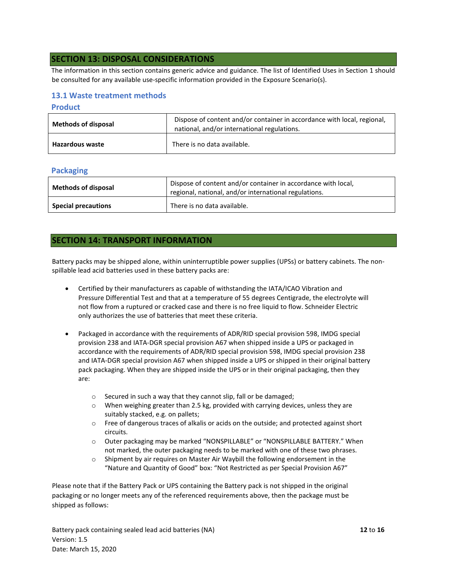#### **SECTION 13: DISPOSAL CONSIDERATIONS**

The information in this section contains generic advice and guidance. The list of Identified Uses in Section 1 should be consulted for any available use-specific information provided in the Exposure Scenario(s).

#### **13.1 Waste treatment methods**

#### **Product**

| <b>Methods of disposal</b> | Dispose of content and/or container in accordance with local, regional,<br>national, and/or international regulations. |
|----------------------------|------------------------------------------------------------------------------------------------------------------------|
| <b>Hazardous waste</b>     | There is no data available.                                                                                            |

#### **Packaging**

| <b>Methods of disposal</b> | Dispose of content and/or container in accordance with local,<br>regional, national, and/or international regulations. |  |
|----------------------------|------------------------------------------------------------------------------------------------------------------------|--|
| <b>Special precautions</b> | There is no data available.                                                                                            |  |

#### **SECTION 14: TRANSPORT INFORMATION**

Battery packs may be shipped alone, within uninterruptible power supplies (UPSs) or battery cabinets. The nonspillable lead acid batteries used in these battery packs are:

- Certified by their manufacturers as capable of withstanding the IATA/ICAO Vibration and Pressure Differential Test and that at a temperature of 55 degrees Centigrade, the electrolyte will not flow from a ruptured or cracked case and there is no free liquid to flow. Schneider Electric only authorizes the use of batteries that meet these criteria.
- Packaged in accordance with the requirements of ADR/RID special provision 598, IMDG special provision 238 and IATA-DGR special provision A67 when shipped inside a UPS or packaged in accordance with the requirements of ADR/RID special provision 598, IMDG special provision 238 and IATA-DGR special provision A67 when shipped inside a UPS or shipped in their original battery pack packaging. When they are shipped inside the UPS or in their original packaging, then they are:
	- o Secured in such a way that they cannot slip, fall or be damaged;
	- $\circ$  When weighing greater than 2.5 kg, provided with carrying devices, unless they are suitably stacked, e.g. on pallets;
	- o Free of dangerous traces of alkalis or acids on the outside; and protected against short circuits.
	- o Outer packaging may be marked "NONSPILLABLE" or "NONSPILLABLE BATTERY." When not marked, the outer packaging needs to be marked with one of these two phrases.
	- o Shipment by air requires on Master Air Waybill the following endorsement in the "Nature and Quantity of Good" box: "Not Restricted as per Special Provision A67"

Please note that if the Battery Pack or UPS containing the Battery pack is not shipped in the original packaging or no longer meets any of the referenced requirements above, then the package must be shipped as follows:

Battery pack containing sealed lead acid batteries (NA) **12** to **16** Version: 1.5 Date: March 15, 2020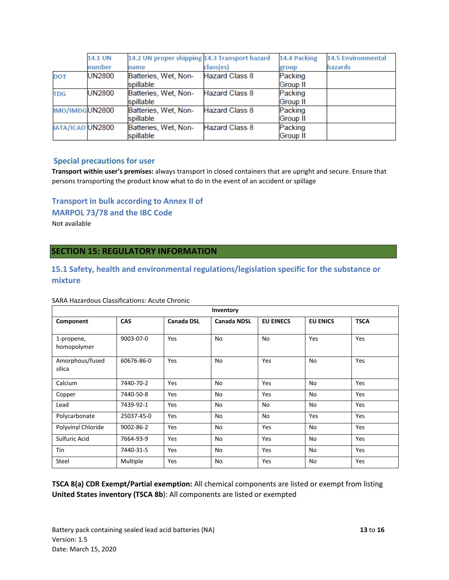|                  | <b>14.1 UN</b> | 14.2 UN proper shipping 14.3 Transport hazard |                       | 14.4 Packing    | <b>14.5 Environmental</b> |
|------------------|----------------|-----------------------------------------------|-----------------------|-----------------|---------------------------|
|                  | number         | name                                          | class(es)             | group           | hazards                   |
| <b>DOT</b>       | <b>UN2800</b>  | Batteries, Wet, Non-                          | Hazard Class 8        | Packing         |                           |
|                  |                | spillable                                     |                       | Group II        |                           |
| <b>TDG</b>       | <b>UN2800</b>  | Batteries, Wet, Non-                          | <b>Hazard Class 8</b> | Packing         |                           |
|                  |                | spillable                                     |                       | <b>Group II</b> |                           |
| IMO/IMDGUN2800   |                | Batteries, Wet, Non-                          | <b>Hazard Class 8</b> | Packing         |                           |
|                  |                | spillable                                     |                       | Group II        |                           |
| IATA/ICAO UN2800 |                | Batteries, Wet, Non-                          | <b>Hazard Class 8</b> | Packing         |                           |
|                  |                | spillable                                     |                       | <b>Group II</b> |                           |

#### **Special precautions for user**

**Transport within user's premises:** always transport in closed containers that are upright and secure. Ensure that persons transporting the product know what to do in the event of an accident or spillage

## **Transport in bulk according to Annex II of**

**MARPOL 73/78 and the IBC Code** 

Not available

## **SECTION 15: REGULATORY INFORMATION**

## **15.1 Safety, health and environmental regulations/legislation specific for the substance or mixture**

| Inventory                 |            |                   |                    |                  |                 |             |
|---------------------------|------------|-------------------|--------------------|------------------|-----------------|-------------|
| Component                 | <b>CAS</b> | <b>Canada DSL</b> | <b>Canada NDSL</b> | <b>EU EINECS</b> | <b>EU ENICS</b> | <b>TSCA</b> |
| 1-propene,<br>homopolymer | 9003-07-0  | Yes               | No                 | No               | Yes             | Yes         |
| Amorphous/fused<br>silica | 60676-86-0 | Yes               | No                 | Yes              | No              | Yes         |
| Calcium                   | 7440-70-2  | Yes               | No                 | Yes              | No              | Yes         |
| Copper                    | 7440-50-8  | Yes               | No                 | Yes              | No              | Yes         |
| Lead                      | 7439-92-1  | Yes               | No                 | No               | No              | Yes         |
| Polycarbonate             | 25037-45-0 | Yes               | No                 | No               | Yes             | Yes         |
| Polyvinyl Chloride        | 9002-86-2  | Yes               | No                 | Yes              | No              | Yes         |
| Sulfuric Acid             | 7664-93-9  | Yes               | No                 | Yes              | No              | Yes         |
| Tin                       | 7440-31-5  | Yes               | No                 | Yes              | No              | Yes         |
| Steel                     | Multiple   | Yes               | No                 | Yes              | No              | Yes         |

#### SARA Hazardous Classifications: Acute Chronic

**TSCA 8(a) CDR Exempt/Partial exemption:** All chemical components are listed or exempt from listing **United States inventory (TSCA 8b**): All components are listed or exempted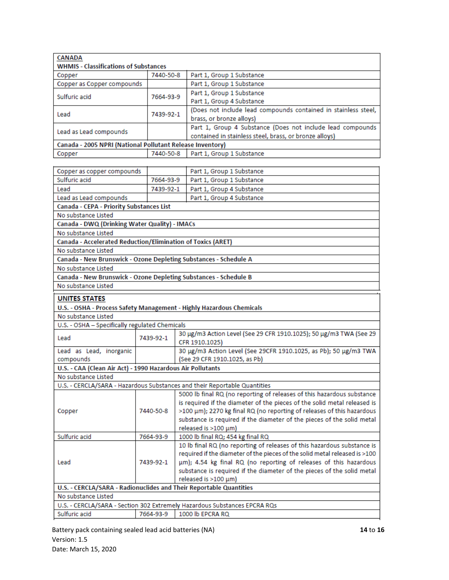| <b>CANADA</b>                                             |                                              |                                                                |  |  |  |
|-----------------------------------------------------------|----------------------------------------------|----------------------------------------------------------------|--|--|--|
|                                                           | <b>WHMIS - Classifications of Substances</b> |                                                                |  |  |  |
| Copper                                                    | Part 1, Group 1 Substance<br>7440-50-8       |                                                                |  |  |  |
| Copper as Copper compounds                                |                                              | Part 1, Group 1 Substance                                      |  |  |  |
| Sulfuric acid                                             | 7664-93-9                                    | Part 1, Group 1 Substance                                      |  |  |  |
|                                                           |                                              | Part 1, Group 4 Substance                                      |  |  |  |
| Lead                                                      | 7439-92-1                                    | (Does not include lead compounds contained in stainless steel, |  |  |  |
|                                                           |                                              | brass, or bronze alloys)                                       |  |  |  |
|                                                           |                                              | Part 1, Group 4 Substance (Does not include lead compounds     |  |  |  |
| Lead as Lead compounds                                    |                                              | contained in stainless steel, brass, or bronze alloys)         |  |  |  |
| Canada - 2005 NPRI (National Pollutant Release Inventory) |                                              |                                                                |  |  |  |
| Copper                                                    | 7440-50-8                                    | Part 1, Group 1 Substance                                      |  |  |  |
|                                                           |                                              |                                                                |  |  |  |
| Connected connected proposition                           |                                              | Dart 1. Crous 1. Cubetanos                                     |  |  |  |

| Copper as copper compounds                                                |           |                               | Part 1, Group 1 Substance                                                  |  |
|---------------------------------------------------------------------------|-----------|-------------------------------|----------------------------------------------------------------------------|--|
| Sulfuric acid                                                             | 7664-93-9 |                               | Part 1, Group 1 Substance                                                  |  |
| Lead                                                                      | 7439-92-1 |                               | Part 1, Group 4 Substance                                                  |  |
| Lead as Lead compounds                                                    |           |                               | Part 1, Group 4 Substance                                                  |  |
| Canada - CEPA - Priority Substances List                                  |           |                               |                                                                            |  |
| No substance Listed                                                       |           |                               |                                                                            |  |
| Canada - DWQ (Drinking Water Quality) - IMACs                             |           |                               |                                                                            |  |
| No substance Listed                                                       |           |                               |                                                                            |  |
| Canada - Accelerated Reduction/Elimination of Toxics (ARET)               |           |                               |                                                                            |  |
| No substance Listed                                                       |           |                               |                                                                            |  |
| Canada - New Brunswick - Ozone Depleting Substances - Schedule A          |           |                               |                                                                            |  |
| No substance Listed                                                       |           |                               |                                                                            |  |
| Canada - New Brunswick - Ozone Depleting Substances - Schedule B          |           |                               |                                                                            |  |
| No substance Listed                                                       |           |                               |                                                                            |  |
| <b>UNITES STATES</b>                                                      |           |                               |                                                                            |  |
| U.S. - OSHA - Process Safety Management - Highly Hazardous Chemicals      |           |                               |                                                                            |  |
| No substance Listed                                                       |           |                               |                                                                            |  |
| U.S. - OSHA - Specifically regulated Chemicals                            |           |                               |                                                                            |  |
|                                                                           |           |                               | 30 µg/m3 Action Level (See 29 CFR 1910.1025); 50 µg/m3 TWA (See 29         |  |
| Lead                                                                      | 7439-92-1 |                               | CFR 1910.1025)                                                             |  |
| Lead as Lead, inorganic                                                   |           |                               | 30 µg/m3 Action Level (See 29CFR 1910.1025, as Pb); 50 µg/m3 TWA           |  |
| compounds                                                                 |           | (See 29 CFR 1910.1025, as Pb) |                                                                            |  |
| U.S. - CAA (Clean Air Act) - 1990 Hazardous Air Pollutants                |           |                               |                                                                            |  |
| No substance Listed                                                       |           |                               |                                                                            |  |
|                                                                           |           |                               | U.S. - CERCLA/SARA - Hazardous Substances and their Reportable Quantities  |  |
|                                                                           |           |                               | 5000 lb final RQ (no reporting of releases of this hazardous substance     |  |
|                                                                           |           |                               | is required if the diameter of the pieces of the solid metal released is   |  |
| Copper                                                                    | 7440-50-8 |                               | >100 μm); 2270 kg final RQ (no reporting of releases of this hazardous     |  |
|                                                                           |           |                               | substance is required if the diameter of the pieces of the solid metal     |  |
|                                                                           |           |                               | released is >100 µm)                                                       |  |
| Sulfuric acid                                                             | 7664-93-9 |                               | 1000 lb final RQ; 454 kg final RQ                                          |  |
| Lead                                                                      |           |                               | 10 lb final RQ (no reporting of releases of this hazardous substance is    |  |
|                                                                           |           |                               | required if the diameter of the pieces of the solid metal released is >100 |  |
|                                                                           | 7439-92-1 |                               | um); 4.54 kg final RQ (no reporting of releases of this hazardous          |  |
|                                                                           |           |                               | substance is required if the diameter of the pieces of the solid metal     |  |
|                                                                           |           |                               | released is >100 µm)                                                       |  |
| U.S. - CERCLA/SARA - Radionuclides and Their Reportable Quantities        |           |                               |                                                                            |  |
| No substance Listed                                                       |           |                               |                                                                            |  |
| U.S. - CERCLA/SARA - Section 302 Extremely Hazardous Substances EPCRA RQs |           |                               |                                                                            |  |
| Sulfuric acid                                                             | 7664-93-9 |                               | 1000 lb EPCRA RQ                                                           |  |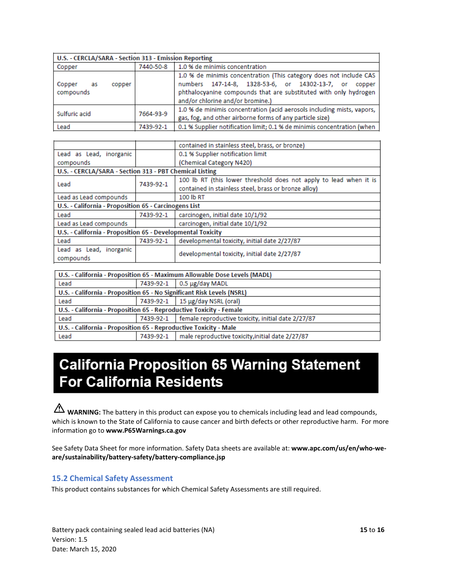| U.S. - CERCLA/SARA - Section 313 - Emission Reporting |           |                                                                                                                                                                                                                                        |  |  |
|-------------------------------------------------------|-----------|----------------------------------------------------------------------------------------------------------------------------------------------------------------------------------------------------------------------------------------|--|--|
| Copper                                                | 7440-50-8 | 1.0 % de minimis concentration                                                                                                                                                                                                         |  |  |
| Copper<br>copper<br>as<br>compounds                   |           | 1.0 % de minimis concentration (This category does not include CAS<br>numbers 147-14-8, 1328-53-6, or 14302-13-7, or<br>copper<br>phthalocyanine compounds that are substituted with only hydrogen<br>and/or chlorine and/or bromine.) |  |  |
| Sulfuric acid                                         | 7664-93-9 | 1.0 % de minimis concentration (acid aerosols including mists, vapors,<br>gas, fog, and other airborne forms of any particle size)                                                                                                     |  |  |
| Lead                                                  | 7439-92-1 | 0.1 % Supplier notification limit; 0.1 % de minimis concentration (when                                                                                                                                                                |  |  |

|                                                             |           | contained in stainless steel, brass, or bronze)                   |  |  |
|-------------------------------------------------------------|-----------|-------------------------------------------------------------------|--|--|
| Lead as Lead, inorganic                                     |           | 0.1 % Supplier notification limit                                 |  |  |
| compounds                                                   |           | (Chemical Category N420)                                          |  |  |
| U.S. - CERCLA/SARA - Section 313 - PBT Chemical Listing     |           |                                                                   |  |  |
| Lead                                                        | 7439-92-1 | 100 lb RT (this lower threshold does not apply to lead when it is |  |  |
|                                                             |           | contained in stainless steel, brass or bronze alloy)              |  |  |
| Lead as Lead compounds                                      |           | 100 lb RT                                                         |  |  |
| U.S. - California - Proposition 65 - Carcinogens List       |           |                                                                   |  |  |
| Lead                                                        | 7439-92-1 | carcinogen, initial date 10/1/92                                  |  |  |
| Lead as Lead compounds                                      |           | carcinogen, initial date 10/1/92                                  |  |  |
| U.S. - California - Proposition 65 - Developmental Toxicity |           |                                                                   |  |  |
| Lead                                                        | 7439-92-1 | developmental toxicity, initial date 2/27/87                      |  |  |
| Lead as Lead, inorganic                                     |           | developmental toxicity, initial date 2/27/87                      |  |  |
| compounds                                                   |           |                                                                   |  |  |

| U.S. - California - Proposition 65 - Maximum Allowable Dose Levels (MADL) |           |                                                                |  |  |
|---------------------------------------------------------------------------|-----------|----------------------------------------------------------------|--|--|
| Lead                                                                      | 7439-92-1 | $0.5 \mu$ g/day MADL                                           |  |  |
| U.S. - California - Proposition 65 - No Significant Risk Levels (NSRL)    |           |                                                                |  |  |
| Lead                                                                      | 7439-92-1 | 15 μg/day NSRL (oral)                                          |  |  |
| U.S. - California - Proposition 65 - Reproductive Toxicity - Female       |           |                                                                |  |  |
| Lead                                                                      |           | 7439-92-1   female reproductive toxicity, initial date 2/27/87 |  |  |
| U.S. - California - Proposition 65 - Reproductive Toxicity - Male         |           |                                                                |  |  |
| Lead                                                                      | 7439-92-1 | male reproductive toxicity, initial date 2/27/87               |  |  |

# **California Proposition 65 Warning Statement For California Residents**

WARNING: The battery in this product can expose you to chemicals including lead and lead compounds, which is known to the State of California to cause cancer and birth defects or other reproductive harm. For more information go to **www.P65Warnings.ca.gov**

See Safety Data Sheet for more information. Safety Data sheets are available at: **www.apc.com/us/en/who-weare/sustainability/battery-safety/battery-compliance.jsp**

## **15.2 Chemical Safety Assessment**

This product contains substances for which Chemical Safety Assessments are still required.